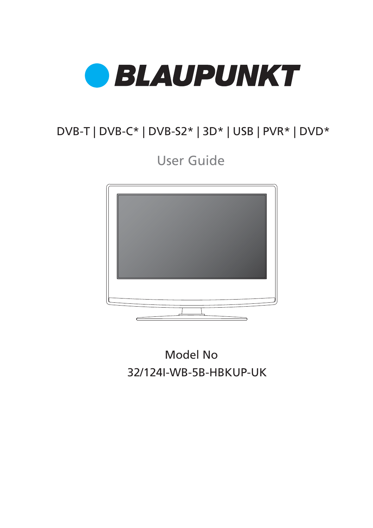

# DVB-T | DVB-C\* | DVB-S2\* | 3D\* | USB | PVR\* | DVD\*

User Guide



32/124I-WB-5B-HBKUP-UK Model No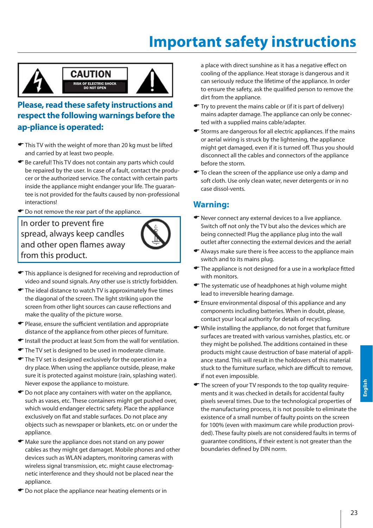# **Important safety instructions**



### **Please, read these safety instructions and respect the following warnings before the ap-pliance is operated:**

- $\blacktriangleright$  This TV with the weight of more than 20 kg must be lifted and carried by at least two people.
- (Be careful! This TV does not contain any parts which could be repaired by the user. In case of a fault, contact the producer or the authorized service. The contact with certain parts inside the appliance might endanger your life. The guarantee is not provided for the faults caused by non-professional interactions!
- $\bullet$  Do not remove the rear part of the appliance.

In order to prevent fire spread, always keep candles and other open flames away from this product.



- $\blacktriangleright$  This appliance is designed for receiving and reproduction of video and sound signals. Any other use is strictly forbidden.
- $\blacktriangleright$  The ideal distance to watch TV is approximately five times the diagonal of the screen. The light striking upon the screen from other light sources can cause reflections and make the quality of the picture worse.
- $\blacktriangleright$  Please, ensure the sufficient ventilation and appropriate distance of the appliance from other pieces of furniture.
- $\blacktriangleright$  Install the product at least 5cm from the wall for ventilation.
- The TV set is designed to be used in moderate climate.
- $\bullet$  The TV set is designed exclusively for the operation in a dry place. When using the appliance outside, please, make sure it is protected against moisture (rain, splashing water). Never expose the appliance to moisture.
- $\bullet$  Do not place any containers with water on the appliance, such as vases, etc. These containers might get pushed over, which would endanger electric safety. Place the appliance exclusively on flat and stable surfaces. Do not place any objects such as newspaper or blankets, etc. on or under the appliance.
- $\bullet$  Make sure the appliance does not stand on any power cables as they might get damaget. Mobile phones and other devices such as WLAN adapters, monitoring cameras with wireless signal transmission, etc. might cause electromagnetic interference and they should not be placed near the appliance.
- $\bullet$  Do not place the appliance near heating elements or in

a place with direct sunshine as it has a negative effect on cooling of the appliance. Heat storage is dangerous and it can seriously reduce the lifetime of the appliance. In order to ensure the safety, ask the qualified person to remove the dirt from the appliance.

- Try to prevent the mains cable or (if it is part of delivery) mains adapter damage. The appliance can only be connected with a supplied mains cable/adapter.
- $\blacktriangleright$  Storms are dangerous for all electric appliances. If the mains or aerial wiring is struck by the lightening, the appliance might get damaged, even if it is turned off. Thus you should disconnect all the cables and connectors of the appliance before the storm.
- $\blacktriangleright$  To clean the screen of the appliance use only a damp and soft cloth. Use only clean water, never detergents or in no case dissol-vents.

#### **Warning:**

- $\blacktriangleright$  Never connect any external devices to a live appliance. Switch off not only the TV but also the devices which are being connected! Plug the appliance plug into the wall outlet after connecting the external devices and the aerial!
- $\blacktriangleright$  Always make sure there is free access to the appliance main switch and to its mains plug.
- $\blacktriangleright$  The appliance is not designed for a use in a workplace fitted with monitors.
- $\blacktriangleright$  The systematic use of headphones at high volume might lead to irreversible hearing damage.
- $\blacktriangleright$  Ensure environmental disposal of this appliance and any components including batteries. When in doubt, please, contact your local authority for details of recycling.
- $\blacktriangleright$  While installing the appliance, do not forget that furniture surfaces are treated with various varnishes, plastics, etc. or they might be polished. The additions contained in these products might cause destruction of base material of appliance stand. This will result in the holdovers of this material stuck to the furniture surface, which are difficult to remove. if not even impossible.
- $\blacktriangleright$  The screen of your TV responds to the top quality requirements and it was checked in details for accidental faulty pixels several times. Due to the technological properties of the manufacturing process, it is not possible to eliminate the existence of a small number of faulty points on the screen for 100% (even with maximum care while production provided). These faulty pixels are not considered faults in terms of guarantee conditions, if their extent is not greater than the boundaries defined by DIN norm.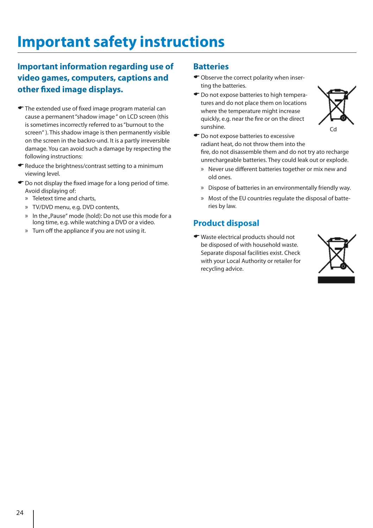# **Important safety instructions**

### **Important information regarding use of video games, computers, captions and other fixed image displays.**

- $\blacktriangleright$  The extended use of fixed image program material can cause a permanent "shadow image " on LCD screen (this is sometimes incorrectly referred to as "burnout to the screen" ). This shadow image is then permanently visible on the screen in the backro-und. It is a partly irreversible damage. You can avoid such a damage by respecting the following instructions:
- $\blacktriangleright$  Reduce the brightness/contrast setting to a minimum viewing level.
- $\bullet$  Do not display the fixed image for a long period of time. Avoid displaying of:
	- » Teletext time and charts,
	- » TV/DVD menu, e.g. DVD contents,
	- » In the "Pause" mode (hold): Do not use this mode for a long time, e.g. while watching a DVD or a video.
	- » Turn off the appliance if you are not using it.

#### **Batteries**

- $\bullet$  Observe the correct polarity when inserting the batteries.
- $\bullet$  Do not expose batteries to high temperatures and do not place them on locations where the temperature might increase quickly, e.g. near the fire or on the direct sunshine.



- $\bullet$  Do not expose batteries to excessive radiant heat, do not throw them into the fire, do not disassemble them and do not try ato recharge unrechargeable batteries. They could leak out or explode.
	- » Never use different batteries together or mix new and old ones.
	- » Dispose of batteries in an environmentally friendly way.
	- » Most of the EU countries regulate the disposal of batteries by law.

### **Product disposal**

(Waste electrical products should not be disposed of with household waste. Separate disposal facilities exist. Check with your Local Authority or retailer for recycling advice.

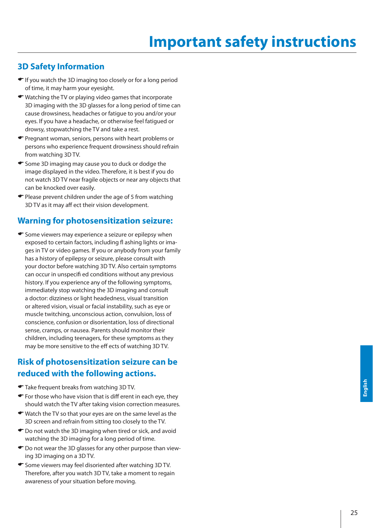### **3D Safety Information**

- $\blacktriangleright$  If you watch the 3D imaging too closely or for a long period of time, it may harm your eyesight.
- $\blacktriangleright$  Watching the TV or playing video games that incorporate 3D imaging with the 3D glasses for a long period of time can cause drowsiness, headaches or fatigue to you and/or your eyes. If you have a headache, or otherwise feel fatigued or drowsy, stopwatching the TV and take a rest.
- (Pregnant woman, seniors, persons with heart problems or persons who experience frequent drowsiness should refrain from watching 3D TV.
- Gome 3D imaging may cause you to duck or dodge the image displayed in the video. Therefore, it is best if you do not watch 3D TV near fragile objects or near any objects that can be knocked over easily.
- $\bullet$  Please prevent children under the age of 5 from watching 3D TV as it may aff ect their vision development.

#### **Warning for photosensitization seizure:**

 $\bullet$  Some viewers may experience a seizure or epilepsy when exposed to certain factors, including fl ashing lights or images in TV or video games. If you or anybody from your family has a history of epilepsy or seizure, please consult with your doctor before watching 3D TV. Also certain symptoms can occur in unspecifi ed conditions without any previous history. If you experience any of the following symptoms, immediately stop watching the 3D imaging and consult a doctor: dizziness or light headedness, visual transition or altered vision, visual or facial instability, such as eye or muscle twitching, unconscious action, convulsion, loss of conscience, confusion or disorientation, loss of directional sense, cramps, or nausea. Parents should monitor their children, including teenagers, for these symptoms as they may be more sensitive to the eff ects of watching 3D TV.

### **Risk of photosensitization seizure can be reduced with the following actions.**

- (Take frequent breaks from watching 3D TV.
- $\bullet$  For those who have vision that is diff erent in each eye, they should watch the TV after taking vision correction measures.
- $\blacktriangleright$  Watch the TV so that your eyes are on the same level as the 3D screen and refrain from sitting too closely to the TV.
- $\bullet$  Do not watch the 3D imaging when tired or sick, and avoid watching the 3D imaging for a long period of time.
- $\bullet$  Do not wear the 3D glasses for any other purpose than viewing 3D imaging on a 3D TV.
- Gome viewers may feel disoriented after watching 3D TV. Therefore, after you watch 3D TV, take a moment to regain awareness of your situation before moving.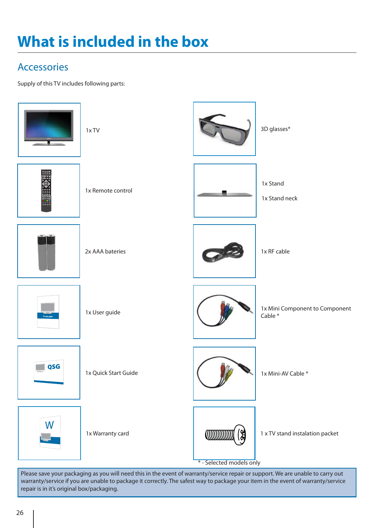# **What is included in the box**

### **Accessories**

Supply of this TV includes following parts:



warranty/service if you are unable to package it correctly. The safest way to package your item in the event of warranty/service repair is in it's original box/packaging.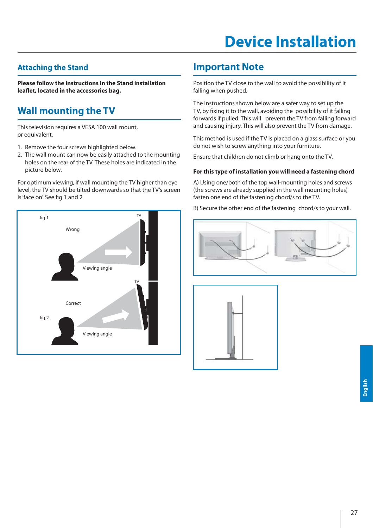# **Device Installation**

### **Attaching the Stand**

**Please follow the instructions in the Stand installation leafl et, located in the accessories bag.**

### **Wall mounting the TV**

This television requires a VESA 100 wall mount, or equivalent.

- 1. Remove the four screws highlighted below.
- 2. The wall mount can now be easily attached to the mounting holes on the rear of the TV. These holes are indicated in the picture below.

For optimum viewing, if wall mounting the TV higher than eye level, the TV should be tilted downwards so that the TV's screen is 'face on'. See fig 1 and 2



### **Important Note**

Position the TV close to the wall to avoid the possibility of it falling when pushed.

The instructions shown below are a safer way to set up the TV, by fixing it to the wall, avoiding the possibility of it falling forwards if pulled. This will prevent the TV from falling forward and causing injury. This will also prevent the TV from damage.

This method is used if the TV is placed on a glass surface or you do not wish to screw anything into your furniture.

Ensure that children do not climb or hang onto the TV.

#### **For this type of installation you will need a fastening chord**

A) Using one/both of the top wall-mounting holes and screws (the screws are already supplied in the wall mounting holes) fasten one end of the fastening chord/s to the TV.

B) Secure the other end of the fastening chord/s to your wall.



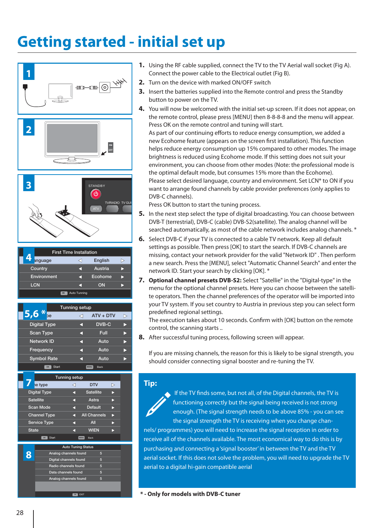# **Getting started - initial set up**





- **1.** Using the RF cable supplied, connect the TV to the TV Aerial wall socket (Fig A). Connect the power cable to the Electrical outlet (Fig B).
- **2.** Turn on the device with marked ON/OFF switch
- **3.** Insert the batteries supplied into the Remote control and press the Standby button to power on the TV.
- **4.** You will now be welcomed with the initial set-up screen. If it does not appear, on the remote control, please press [MENU] then 8-8-8-8 and the menu will appear. Press OK on the remote control and tuning will start.

As part of our continuing efforts to reduce energy consumption, we added a new Ecohome feature (appears on the screen first installation). This function helps reduce energy consumption up 15% compared to other modes. The image brightness is reduced using Ecohome mode. If this setting does not suit your environment, you can choose from other modes (Note: the professional mode is the optimal default mode, but consumes 15% more than the Ecohome). Please select desired language, country and environment. Set LCN\* to ON if you want to arrange found channels by cable provider preferences (only applies to DVB-C channels).

Press OK button to start the tuning process.

- **5.** In the next step select the type of digital broadcasting. You can choose between DVB-T (terrestrial), DVB-C (cable) DVB-S2(satellite). The analog channel will be searched automatically, as most of the cable network includes analog channels. \*
- **6.** Select DVB-C if your TV is connected to a cable TV network. Keep all default settings as possible. Then press [OK] to start the search. If DVB-C channels are missing, contact your network provider for the valid "Network ID" . Then perform a new search. Press the [MENU], select "Automatic Channel Search" and enter the network ID. Start your search by clicking [OK]. \*
- **7. Optional channel presets DVB-S2:** Select "Satellie" in the "Digital-type" in the menu for the optional channel presets. Here you can choose between the satellite operators. Then the channel preferences of the operator will be imported into your TV system. If you set country to Austria in previous step you can select form predefined regional settings.

The execution takes about 10 seconds. Confirm with [OK] button on the remote control, the scanning starts ..

**8.** After successful tuning process, following screen will appear.

If you are missing channels, the reason for this is likely to be signal strength, you should consider connecting signal booster and re-tuning the TV.

#### **Tip:**

If the TV finds some, but not all, of the Digital channels, the TV is functioning correctly but the signal being received is not strong enough. (The signal strength needs to be above 85% - you can see the signal strength the TV is receiving when you change chan-

nels/ programmes) you will need to increase the signal reception in order to receive all of the channels available. The most economical way to do this is by purchasing and connecting a 'signal booster' in between the TV and the TV aerial socket. If this does not solve the problem, you will need to upgrade the TV aerial to a digital hi-gain compatible aerial

**\* - Only for models with DVB-C tuner**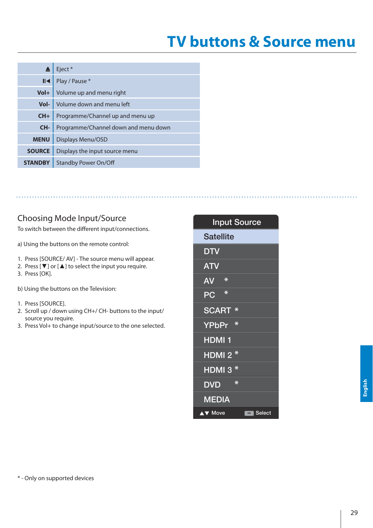# **TV buttons & Source menu**

|                | Eject*                               |
|----------------|--------------------------------------|
| $\blacksquare$ | Play / Pause *                       |
| $Vol+$         | Volume up and menu right             |
| Vol-           | Volume down and menu left            |
| $CH+$          | Programme/Channel up and menu up     |
| CH-            | Programme/Channel down and menu down |
| <b>MENU</b>    | Displays Menu/OSD                    |
| <b>SOURCE</b>  | Displays the input source menu       |
| <b>STANDBY</b> | <b>Standby Power On/Off</b>          |

### Choosing Mode Input/Source

To switch between the different input/connections.

a) Using the buttons on the remote control:

- 1. Press [SOURCE/ AV] The source menu will appear.
- 2. Press  $[\nabla]$  or  $[\nabla]$  to select the input you require.
- 3. Press [OK].

b) Using the buttons on the Television:

- 1. Press [SOURCE].
- 2. Scroll up / down using CH+/ CH- buttons to the input/ source you require.
- 3. Press Vol+ to change input/source to the one selected.

### Input Source **Satellite DTV** ATV PC SCART **\*** HDMI 1 YPbPr **\*** HDMI 2 **\*** HDMI 3 **\*** DVD MEDIA AV **\***

Move **GK** Select

\* - Only on supported devices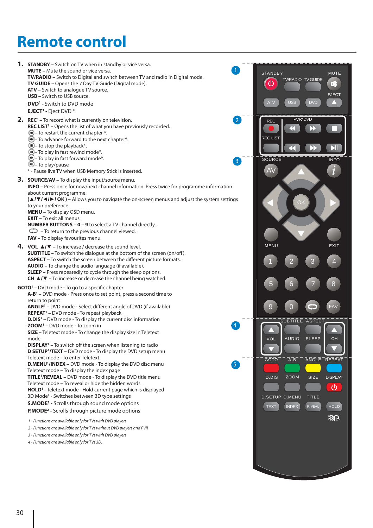# **Remote control**

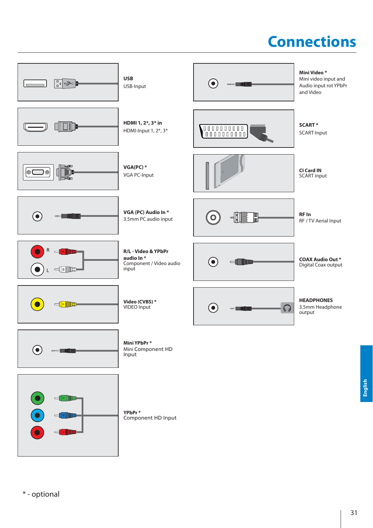# **Connections**



\* - optional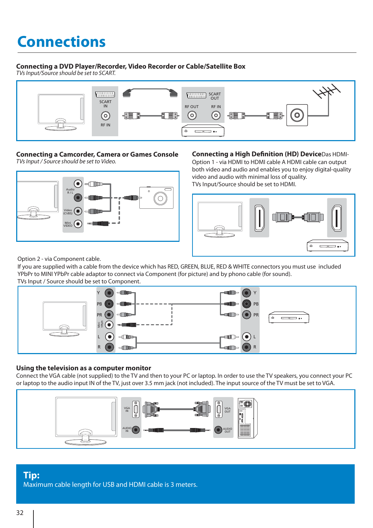# **Connections**

#### **Connecting a DVD Player/Recorder, Video Recorder or Cable/Satellite Box**

TVs Input/Source should be set to SCART.



#### **Connecting a Camcorder, Camera or Games Console** TVs Input / Source should be set to Video.



**Connecting a High Definition (HD) Device**Das HDMI-Option 1 - via HDMI to HDMI cable A HDMI cable can output both video and audio and enables you to enjoy digital-quality video and audio with minimal loss of quality. TVs Input/Source should be set to HDMI.



Option 2 - via Component cable.

If you are supplied with a cable from the device which has RED, GREEN, BLUE, RED & WHITE connectors you must use included YPbPr to MINI YPbPr cable adaptor to connect via Component (for picture) and by phono cable (for sound). TVs Input / Source should be set to Component.



#### **Using the television as a computer monitor**

Connect the VGA cable (not supplied) to the TV and then to your PC or laptop. In order to use the TV speakers, you connect your PC or laptop to the audio input IN of the TV, just over 3.5 mm jack (not included). The input source of the TV must be set to VGA.



#### **Tip:** Maximum cable length for USB and HDMI cable is 3 meters.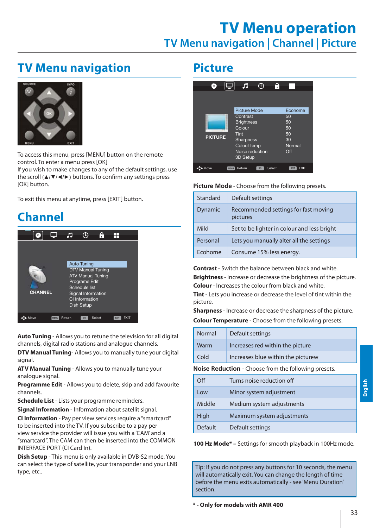## **TV Menu operation TV Menu navigation | Channel | Picture**

### **TV Menu navigation**



To access this menu, press [MENU] button on the remote control. To enter a menu press [OK] If you wish to make changes to any of the default settings, use the scroll ( $\triangle$ / $\Psi$ / $\triangle$ ) buttons. To confirm any settings press [OK] button.

To exit this menu at anytime, press [EXIT] button.

## **Channel**



**Auto Tuning** - Allows you to retune the television for all digital channels, digital radio stations and analogue channels.

**DTV Manual Tuning**- Allows you to manually tune your digital signal.

**ATV Manual Tuning** - Allows you to manually tune your analogue signal.

**Programme Edit** - Allows you to delete, skip and add favourite channels.

**Schedule List** - Lists your programme reminders.

**Signal Information** - Information about satellit signal.

**CI Information** - Pay per view services require a "smartcard" to be inserted into the TV. If you subscribe to a pay per view service the provider will issue you with a 'CAM' and a "smartcard". The CAM can then be inserted into the COMMON INTERFACE PORT (CI Card In).

**Dish Setup** - This menu is only available in DVB-S2 mode. You can select the type of satellite, your transponder and your LNB type, etc..

### **Picture**



#### **Picture Mode** - Choose from the following presets.

| Standard       | Default settings                                 |
|----------------|--------------------------------------------------|
| Dynamic        | Recommended settings for fast moving<br>pictures |
| Mild           | Set to be lighter in colour and less bright      |
| Personal       | Lets you manually alter all the settings         |
| <b>Frohome</b> | Consume 15% less energy.                         |

**Contrast** - Switch the balance between black and white. **Brightness** - Increase or decrease the brightness of the picture. **Colour** - Increases the colour from black and white.

**Tint** - Lets you increase or decrease the level of tint within the picture.

**Sharpness** - Increase or decrease the sharpness of the picture.

**Colour Temperature** - Choose from the following presets.

| Normal                                               | Default settings                   |  |
|------------------------------------------------------|------------------------------------|--|
| Warm                                                 | Increases red within the picture   |  |
| Cold                                                 | Increases blue within the picturew |  |
| Noise Reduction - Choose from the following presets. |                                    |  |
|                                                      |                                    |  |

| $\bigcirc$ ff | Turns noise reduction off  |
|---------------|----------------------------|
| Low           | Minor system adjustment    |
| Middle        | Medium system adjustments  |
| High          | Maximum system adjustments |
| Default       | Default settings           |

**100 Hz Mode\* –** Settings for smooth playback in 100Hz mode.

Tip: If you do not press any buttons for 10 seconds, the menu will automatically exit. You can change the length of time before the menu exits automatically - see 'Menu Duration' section.

**\* - Only for models with AMR 400**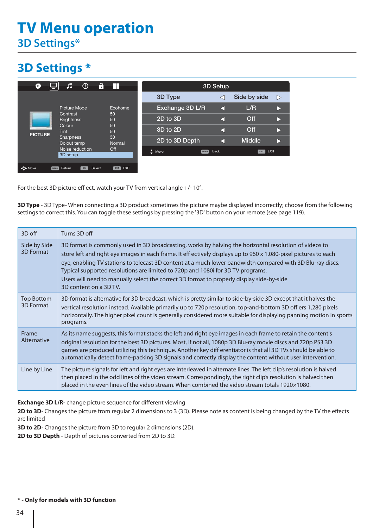# **TV Menu operation 3D Settings\***

## **3D Settings \***

| ۰<br>s                                                                                                                                                                                                        | А<br>$\oplus$<br>л                    | H                        |                 | 3D Setup            |               |   |
|---------------------------------------------------------------------------------------------------------------------------------------------------------------------------------------------------------------|---------------------------------------|--------------------------|-----------------|---------------------|---------------|---|
|                                                                                                                                                                                                               |                                       |                          | 3D Type         |                     | Side by side  | ▷ |
| Ecohome<br>Picture Mode<br>Contrast<br>50<br><b>Brightness</b><br>50<br>50<br>Colour<br>50<br>Tint<br><b>PICTURE</b><br>30<br><b>Sharpness</b><br>Normal<br>Colout temp<br>Noise reduction<br>Off<br>3D setup |                                       |                          | Exchange 3D L/R | а                   | L/R           |   |
|                                                                                                                                                                                                               |                                       |                          | 2D to 3D        |                     | Off           |   |
|                                                                                                                                                                                                               |                                       |                          | 3D to 2D        |                     | Off           |   |
|                                                                                                                                                                                                               |                                       |                          | 2D to 3D Depth  |                     | <b>Middle</b> |   |
|                                                                                                                                                                                                               |                                       | ٠<br>Move<br><b>MENU</b> | Back            | <b>EXIT</b><br>EXIT |               |   |
| < <sup>4</sup> Move                                                                                                                                                                                           | Select<br>Return<br>OK<br><b>MENU</b> | EXIT<br>EXIT             |                 |                     |               |   |

For the best 3D picture eff ect, watch your TV from vertical angle +/- 10°.

**3D Type** - 3D Type- When connecting a 3D product sometimes the picture maybe displayed incorrectly; choose from the following settings to correct this. You can toggle these settings by pressing the '3D' button on your remote (see page 119).

| 3D off                         | Turns 3D off                                                                                                                                                                                                                                                                                                                                                                                                                                                                                                                                       |
|--------------------------------|----------------------------------------------------------------------------------------------------------------------------------------------------------------------------------------------------------------------------------------------------------------------------------------------------------------------------------------------------------------------------------------------------------------------------------------------------------------------------------------------------------------------------------------------------|
| Side by Side<br>3D Format      | 3D format is commonly used in 3D broadcasting, works by halving the horizontal resolution of videos to<br>store left and right eye images in each frame. It eff ectively displays up to 960 x 1,080-pixel pictures to each<br>eye, enabling TV stations to telecast 3D content at a much lower bandwidth compared with 3D Blu-ray discs.<br>Typical supported resolutions are limited to 720p and 1080i for 3D TV programs.<br>Users will need to manually select the correct 3D format to properly display side-by-side<br>3D content on a 3D TV. |
| <b>Top Bottom</b><br>3D Format | 3D format is alternative for 3D broadcast, which is pretty similar to side-by-side 3D except that it halves the<br>vertical resolution instead. Available primarily up to 720p resolution, top-and-bottom 3D off ers 1,280 pixels<br>horizontally. The higher pixel count is generally considered more suitable for displaying panning motion in sports<br>programs.                                                                                                                                                                               |
| Frame<br>Alternative           | As its name suggests, this format stacks the left and right eye images in each frame to retain the content's<br>original resolution for the best 3D pictures. Most, if not all, 1080p 3D Blu-ray movie discs and 720p PS3 3D<br>games are produced utilizing this technique. Another key diff erentiator is that all 3D TVs should be able to<br>automatically detect frame-packing 3D signals and correctly display the content without user intervention.                                                                                        |
| Line by Line                   | The picture signals for left and right eyes are interleaved in alternate lines. The left clip's resolution is halved<br>then placed in the odd lines of the video stream. Correspondingly, the right clip's resolution is halved then<br>placed in the even lines of the video stream. When combined the video stream totals 1920×1080.                                                                                                                                                                                                            |

**Exchange 3D L/R**- change picture sequence for different viewing

2D to 3D- Changes the picture from regular 2 dimensions to 3 (3D). Please note as content is being changed by the TV the effects are limited

**3D to 2D**- Changes the picture from 3D to regular 2 dimensions (2D).

**2D to 3D Depth** - Depth of pictures converted from 2D to 3D.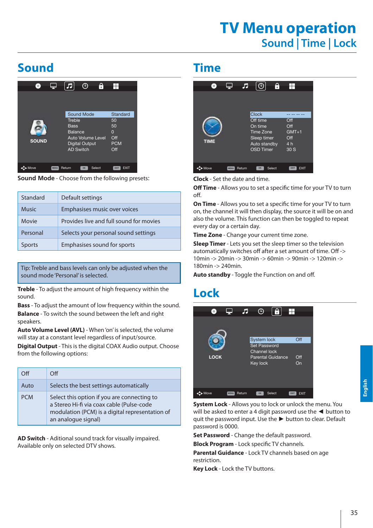## **TV Menu operation Sound | Time | Lock**

## **Sound**

| Гō.          | Æ                                                    | ٢Ņ<br>Ð                                                  |                                                              |
|--------------|------------------------------------------------------|----------------------------------------------------------|--------------------------------------------------------------|
| <b>SOUND</b> | Treble<br><b>Bass</b><br>Balance<br><b>AD Switch</b> | Sound Mode<br>Auto Volume Level<br><b>Digital Output</b> | Standard<br>50<br>50<br>$\Omega$<br>Off<br><b>PCM</b><br>Off |
| Move         | Return<br><b>MENG</b>                                | Select<br>OK                                             | <b>EXIT</b><br>EXIT                                          |

**Sound Mode** - Choose from the following presets:

| Standard      | Default settings                        |
|---------------|-----------------------------------------|
| <b>Music</b>  | Emphasises music over voices            |
| Movie         | Provides live and full sound for movies |
| Personal      | Selects your personal sound settings    |
| <b>Sports</b> | Emphasises sound for sports             |

Tip: Treble and bass levels can only be adjusted when the sound mode 'Personal' is selected.

**Treble** - To adjust the amount of high frequency within the sound.

**Bass** - To adjust the amount of low frequency within the sound. **Balance** - To switch the sound between the left and right speakers.

**Auto Volume Level (AVL)** - When 'on' is selected, the volume will stay at a constant level regardless of input/source.

**Digital Output** - This is the digital COAX Audio output. Choose from the following options:

| Off        | $\Omega$                                                                                                                                                           |
|------------|--------------------------------------------------------------------------------------------------------------------------------------------------------------------|
| Auto       | Selects the best settings automatically                                                                                                                            |
| <b>PCM</b> | Select this option if you are connecting to<br>a Stereo Hi-fi via coax cable (Pulse-code<br>modulation (PCM) is a digital representation of<br>an analogue signal) |

**AD Switch** - Aditional sound track for visually impaired. Available only on selected DTV shows.

### **Time**



**Clock** - Set the date and time.

**Off Time** - Allows you to set a specific time for your TV to turn off.

**On Time** - Allows you to set a specific time for your TV to turn on, the channel it will then display, the source it will be on and also the volume. This function can then be toggled to repeat every day or a certain day.

**Time Zone** - Change your current time zone.

**Sleep Timer** - Lets you set the sleep timer so the television automatically switches off after a set amount of time. Off -> 10min -> 20min -> 30min -> 60min -> 90min -> 120min -> 180min -> 240min.

Auto standby - Toggle the Function on and off.

### **Lock**



**System Lock** - Allows you to lock or unlock the menu. You will be asked to enter a 4 digit password use the  $\blacktriangleleft$  button to quit the password input. Use the  $\blacktriangleright$  button to clear. Default password is 0000.

**Set Password** - Change the default password.

**Block Program** - Lock specific TV channels.

**Parental Guidance** - Lock TV channels based on age restriction.

**Key Lock** - Lock the TV buttons.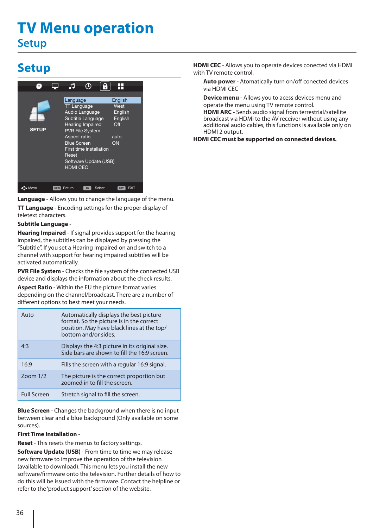# **TV Menu operation Setup**

## **Setup**



**Language** - Allows you to change the language of the menu. **TT Language** - Encoding settings for the proper display of teletext characters.

#### **Subtitle Language** -

**Hearing Impaired** - If signal provides support for the hearing impaired, the subtitles can be displayed by pressing the "Subtitle". If you set a Hearing Impaired on and switch to a channel with support for hearing impaired subtitles will be activated automatically.

**PVR File System** - Checks the file system of the connected USB device and displays the information about the check results.

**Aspect Ratio** - Within the EU the picture format varies depending on the channel/broadcast. There are a number of different options to best meet your needs.

| Auto               | Automatically displays the best picture<br>format. So the picture is in the correct<br>position. May have black lines at the top/<br>bottom and/or sides. |
|--------------------|-----------------------------------------------------------------------------------------------------------------------------------------------------------|
| 4.3                | Displays the 4:3 picture in its original size.<br>Side bars are shown to fill the 16:9 screen.                                                            |
| 16:9               | Fills the screen with a regular 16:9 signal.                                                                                                              |
| Zoom $1/2$         | The picture is the correct proportion but<br>zoomed in to fill the screen.                                                                                |
| <b>Full Screen</b> | Stretch signal to fill the screen.                                                                                                                        |

**Blue Screen** - Changes the background when there is no input between clear and a blue background (Only available on some sources).

#### **First Time Installation** -

**Reset** - This resets the menus to factory settings.

**Software Update (USB)** - From time to time we may release new firmware to improve the operation of the television (available to download). This menu lets you install the new software/firmware onto the television. Further details of how to do this will be issued with the firmware. Contact the helpline or refer to the 'product support' section of the website.

**HDMI CEC** - Allows you to operate devices conected via HDMI with TV remote control.

**Auto power** - Atomatically turn on/off conected devices via HDMI CEC

**Device menu** - Allows you to acess devices menu and operate the menu using TV remote control.

**HDMI ARC** - Sends audio signal from terrestrial/satellite broadcast via HDMI to the AV receiver without using any additional audio cables, this functions is available only on HDMI 2 output.

**HDMI CEC must be supported on connected devices.**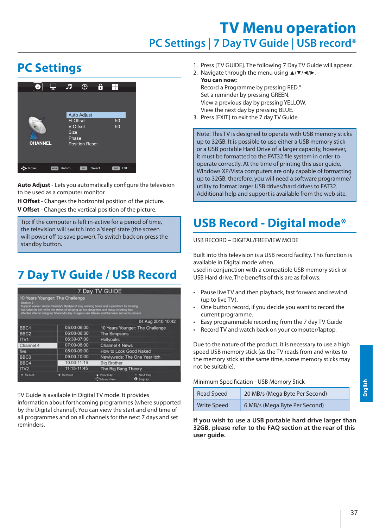## **TV Menu operation PC Settings | 7 Day TV Guide | USB record\***

## **PC Settings**



**Auto Adjust** - Lets you automatically configure the television to be used as a computer monitor.

**H Offset** - Changes the horizontal position of the picture. **V Off set** - Changes the vertical position of the picture.

Tip: If the computer is left in-active for a period of time, the television will switch into a 'sleep' state (the screen will power off to save power). To switch back on press the **Postandby button. Position Resetting back to the original settings** 

# **7 Day TV Guide / USB Record**

|                     |                                                                                                                                                                                                                                                                                                                         | 7 Day TV GUIDE               |                                 |  |
|---------------------|-------------------------------------------------------------------------------------------------------------------------------------------------------------------------------------------------------------------------------------------------------------------------------------------------------------------------|------------------------------|---------------------------------|--|
| Season <sub>2</sub> | 10 Years Younger: The Challenge<br>Support worker Janice Cassidy's lifestyle of long working hours and a penchant for tanning<br>has taken its toll, while the stress of bringing up two daughters and heavy smoking has<br>affected interior designer Shere Morady. Surgeon Jan Stanek and the team set out to provide |                              |                                 |  |
|                     |                                                                                                                                                                                                                                                                                                                         |                              | 04 Aug 2010 10:42               |  |
| BBC <sub>1</sub>    | 05:00-06:00                                                                                                                                                                                                                                                                                                             |                              | 10 Years Younger: The Challenge |  |
| BBC <sub>2</sub>    | 06:00-06:30                                                                                                                                                                                                                                                                                                             | <b>The Simpsons</b>          |                                 |  |
| ITV1                | 06:30-07:00                                                                                                                                                                                                                                                                                                             | <b>Hollyoaks</b>             |                                 |  |
| Channel 4           | 07:00-08:00                                                                                                                                                                                                                                                                                                             | <b>Channel 4 News</b>        |                                 |  |
| five                | 08:00-09:00                                                                                                                                                                                                                                                                                                             | How to Look Good Naked       |                                 |  |
| BBC <sub>3</sub>    | 09:00-10:00                                                                                                                                                                                                                                                                                                             | Newlyweds: The One Year Itch |                                 |  |
| BBC4                | 10:00-11:15                                                                                                                                                                                                                                                                                                             | <b>Big Brother</b>           |                                 |  |
| ITV <sub>2</sub>    | 11:15-11:45                                                                                                                                                                                                                                                                                                             | The Big Bang Theory          |                                 |  |
| <b>B</b> Record     | <b>*</b> Remind                                                                                                                                                                                                                                                                                                         | Prev Day<br>* Move View.     | Next Day<br><b>O</b> Display    |  |

TV Guide is available in Digital TV mode. It provides

information about forthcoming programmes (where supported by the Digital channel). You can view the start and end time of all programmes and on all channels for the next 7 days and set reminders.

- 1. Press [TV GUIDE]. The following 7 Day TV Guide will appear.
- 2. Navigate through the menu using  $\triangle$ / $\Psi$ / $\blacktriangle$ . **You can now:** Record a Programme by pressing RED.\*

Set a reminder by pressing GREEN. View a previous day by pressing YELLOW. View the next day by pressing BLUE.

3. Press [EXIT] to exit the 7 day TV Guide.

Note: This TV is designed to operate with USB memory sticks up to 32GB. It is possible to use either a USB memory stick or a USB portable Hard Drive of a larger capacity, however, it must be formatted to the FAT32 file system in order to operate correctly. At the time of printing this user guide, Windows XP/Vista computers are only capable of formatting up to 32GB, therefore, you will need a software programme/ utility to format larger USB drives/hard drives to FAT32. Additional help and support is available from the web site.

# **USB Record - Digital mode\***

USB RECORD – DIGITAL/FREEVIEW MODE

Built into this television is a USB record facility. This function is available in Digital mode when.

used in conjunction with a compatible USB memory stick or USB Hard drive. The benefits of this are as follows:

- Pause live TV and then playback, fast forward and rewind (up to live TV).
- One button record, if you decide you want to record the current programme.
- Easy programmable recording from the 7 day TV Guide
- Record TV and watch back on your computer/laptop.

Due to the nature of the product, it is necessary to use a high speed USB memory stick (as the TV reads from and writes to the memory stick at the same time, some memory sticks may not be suitable).

#### Minimum Specification - USB Memory Stick

| <b>Read Speed</b>  | 20 MB/s (Mega Byte Per Second) |
|--------------------|--------------------------------|
| <b>Write Speed</b> | 6 MB/s (Mega Byte Per Second)  |

**If you wish to use a USB portable hard drive larger than 32GB, please refer to the FAQ section at the rear of this user guide.**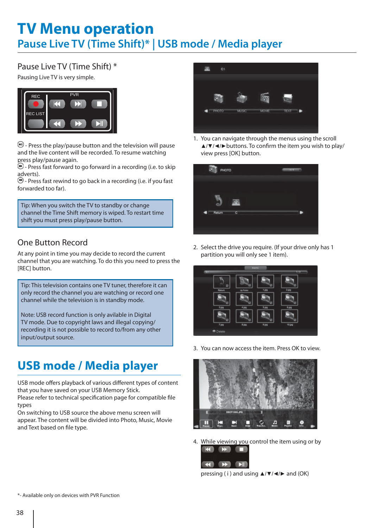# **TV Menu operation Pause Live TV (Time Shift)\* | USB mode / Media player**

### Pause Live TV (Time Shift) \*

Pausing Live TV is very simple.



 $\Theta$  - Press the play/pause button and the television will pause and the live content will be recorded. To resume watching press play/pause again.

 $\Theta$  - Press fast forward to go forward in a recording (i.e. to skip adverts).

 $\bigodot$  - Press fast rewind to go back in a recording (i.e. if you fast forwarded too far).

Tip: When you switch the TV to standby or change channel the Time Shift memory is wiped. To restart time shift you must press play/pause button.

### One Button Record

At any point in time you may decide to record the current channel that you are watching. To do this you need to press the [REC] button.

Tip: This television contains one TV tuner, therefore it can only record the channel you are watching or record one channel while the television is in standby mode.

Note: USB record function is only avilable in Digital TV mode. Due to copyright laws and illegal copying/ recording it is not possible to record to/from any other input/output source.

## **USB mode / Media player**

USB mode offers playback of various different types of content that you have saved on your USB Memory Stick. Please refer to technical specification page for compatible file

types On switching to USB source the above menu screen will appear. The content will be divided into Photo, Music, Movie and Text based on file type.



1. You can navigate through the menus using the scroll  $\triangle$ / $\blacktriangledown$ / $\blacktriangleleft$ / $\blacktriangleright$  buttons. To confirm the item you wish to play/ view press [OK] button.



2. Select the drive you require. (If your drive only has 1 partition you will only see 1 item).



3. You can now access the item. Press OK to view.



4. While viewing you control the item using or by



pressing (i) and using  $\triangle$ / $\nabla$ / $\triangleleft$ / $\triangleright$  and (OK)

\*- Available only on devices with PVR Function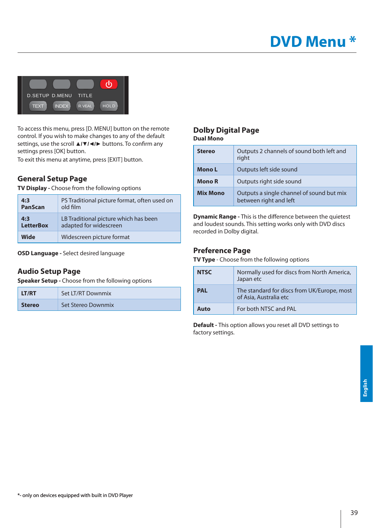

To access this menu, press [D. MENU] button on the remote control. If you wish to make changes to any of the default settings, use the scroll **∆/▼/∢/** buttons. To confirm any settings press [OK] button.

To exit this menu at anytime, press [EXIT] button.

#### **General Setup Page**

**TV Display -** Choose from the following options

| 4:3              | PS Traditional picture format, often used on |  |
|------------------|----------------------------------------------|--|
| PanScan          | old film                                     |  |
| 4:3              | LB Traditional picture which has been        |  |
| <b>LetterBox</b> | adapted for widescreen                       |  |
| Wide             | Widescreen picture format                    |  |

**OSD Language -** Select desired language

#### **Audio Setup Page**

**Speaker Setup -** Choose from the following options

| LT/RT         | Set LT/RT Downmix  |  |
|---------------|--------------------|--|
| <b>Stereo</b> | Set Stereo Downmix |  |

#### **Dolby Digital Page Dual Mono**

| <b>Stereo</b>   | Outputs 2 channels of sound both left and<br>right                  |  |
|-----------------|---------------------------------------------------------------------|--|
| Mono L          | Outputs left side sound                                             |  |
| Mono R          | Outputs right side sound                                            |  |
| <b>Mix Mono</b> | Outputs a single channel of sound but mix<br>between right and left |  |

**Dynamic Range - This is the difference between the quietest** and loudest sounds. This setting works only with DVD discs recorded in Dolby digital.

#### **Preference Page**

**TV Type** - Choose from the following options

| <b>NTSC</b> | Normally used for discs from North America,<br>Japan etc              |  |
|-------------|-----------------------------------------------------------------------|--|
| <b>PAL</b>  | The standard for discs from UK/Europe, most<br>of Asia, Australia etc |  |
| Auto        | For both NTSC and PAL                                                 |  |

**Default -** This option allows you reset all DVD settings to factory settings.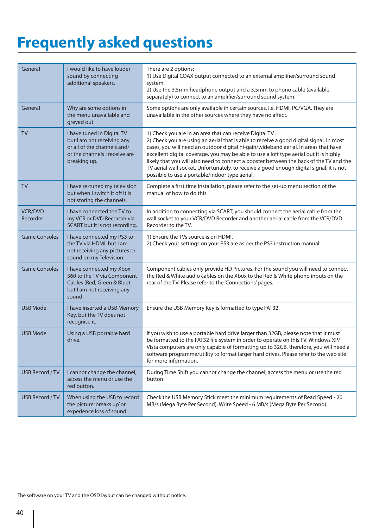# **Frequently asked questions**

| General                    | I would like to have louder<br>sound by connecting<br>additional speakers.                                                               | There are 2 options:<br>1) Use Digital COAX output connected to an external amplifier/surround sound<br>system.<br>2) Use the 3.5mm headphone output and a 3.5mm to phono cable (available<br>separately) to connect to an amplifier/surround sound system.                                                                                                                                                                                                                                                                                                                  |
|----------------------------|------------------------------------------------------------------------------------------------------------------------------------------|------------------------------------------------------------------------------------------------------------------------------------------------------------------------------------------------------------------------------------------------------------------------------------------------------------------------------------------------------------------------------------------------------------------------------------------------------------------------------------------------------------------------------------------------------------------------------|
| General                    | Why are some options in<br>the menu unavailable and<br>greyed out.                                                                       | Some options are only available in certain sources, i.e. HDMI, PC/VGA. They are<br>unavailable in the other sources where they have no affect.                                                                                                                                                                                                                                                                                                                                                                                                                               |
| <b>TV</b>                  | I have tuned in Digital TV<br>but I am not receiving any<br>or all of the channels and/<br>or the channels I receive are<br>breaking up. | 1) Check you are in an area that can receive Digital TV.<br>2) Check you are using an aerial that is able to receive a good digital signal. In most<br>cases, you will need an outdoor digital hi-gain/wideband aerial. In areas that have<br>excellent digital coverage, you may be able to use a loft type aerial but it is highly<br>likely that you will also need to connect a booster between the back of the TV and the<br>TV aerial wall socket. Unfortunately, to receive a good enough digital signal, it is not<br>possible to use a portable/indoor type aerial. |
| <b>TV</b>                  | I have re-tuned my television<br>but when I switch it off it is<br>not storing the channels.                                             | Complete a first time installation, please refer to the set-up menu section of the<br>manual of how to do this.                                                                                                                                                                                                                                                                                                                                                                                                                                                              |
| <b>VCR/DVD</b><br>Recorder | I have connected the TV to<br>my VCR or DVD Recorder via<br>SCART but it is not recording.                                               | In addition to connecting via SCART, you should connect the aerial cable from the<br>wall socket to your VCR/DVD Recorder and another aerial cable from the VCR/DVD<br>Recorder to the TV.                                                                                                                                                                                                                                                                                                                                                                                   |
| <b>Game Consoles</b>       | I have connected my PS3 to<br>the TV via HDMI, but I am<br>not receiving any pictures or<br>sound on my Television.                      | 1) Ensure the TVs source is on HDMI.<br>2) Check your settings on your PS3 are as per the PS3 instruction manual.                                                                                                                                                                                                                                                                                                                                                                                                                                                            |
| <b>Game Consoles</b>       | I have connected my Xbox<br>360 to the TV via Component<br>Cables (Red, Green & Blue)<br>but I am not receiving any<br>sound.            | Component cables only provide HD Pictures. For the sound you will need to connect<br>the Red & White audio cables on the Xbox to the Red & White phono inputs on the<br>rear of the TV. Please refer to the 'Connections' pages.                                                                                                                                                                                                                                                                                                                                             |
| <b>USB Mode</b>            | I have inserted a USB Memory<br>Key, but the TV does not<br>recognise it.                                                                | Ensure the USB Memory Key is formatted to type FAT32.                                                                                                                                                                                                                                                                                                                                                                                                                                                                                                                        |
| <b>USB Mode</b>            | Using a USB portable hard<br>drive.                                                                                                      | If you wish to use a portable hard drive larger than 32GB, please note that it must<br>be formatted to the FAT32 file system in order to operate on this TV. Windows XP/<br>Vista computers are only capable of formatting up to 32GB, therefore, you will need a<br>software programme/utility to format larger hard drives. Please refer to the web site<br>for more information.                                                                                                                                                                                          |
| <b>USB Record / TV</b>     | I cannot change the channel,<br>access the menu or use the<br>red button.                                                                | During Time Shift you cannot change the channel, access the menu or use the red<br>button.                                                                                                                                                                                                                                                                                                                                                                                                                                                                                   |
| <b>USB Record / TV</b>     | When using the USB to record<br>the picture 'breaks up' or<br>experience loss of sound.                                                  | Check the USB Memory Stick meet the minimum requirements of Read Speed - 20<br>MB/s (Mega Byte Per Second), Write Speed - 6 MB/s (Mega Byte Per Second).                                                                                                                                                                                                                                                                                                                                                                                                                     |